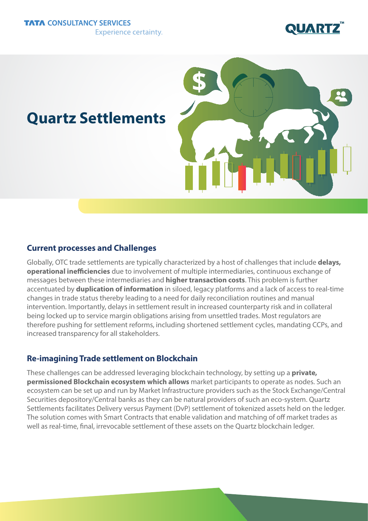

# **Quartz Settlements**



## **Current processes and Challenges**

Globally, OTC trade settlements are typically characterized by a host of challenges that include **delays, operational inefficiencies** due to involvement of multiple intermediaries, continuous exchange of messages between these intermediaries and **higher transaction costs**. This problem is further accentuated by **duplication of information** in siloed, legacy platforms and a lack of access to real-time changes in trade status thereby leading to a need for daily reconciliation routines and manual intervention. Importantly, delays in settlement result in increased counterparty risk and in collateral being locked up to service margin obligations arising from unsettled trades. Most regulators are therefore pushing for settlement reforms, including shortened settlement cycles, mandating CCPs, and increased transparency for all stakeholders.

# **Re-imagining Trade settlement on Blockchain**

These challenges can be addressed leveraging blockchain technology, by setting up a **private, permissioned Blockchain ecosystem which allows** market participants to operate as nodes. Such an ecosystem can be set up and run by Market Infrastructure providers such as the Stock Exchange/Central Securities depository/Central banks as they can be natural providers of such an eco-system. Quartz Settlements facilitates Delivery versus Payment (DvP) settlement of tokenized assets held on the ledger. The solution comes with Smart Contracts that enable validation and matching of off market trades as well as real-time, final, irrevocable settlement of these assets on the Quartz blockchain ledger.